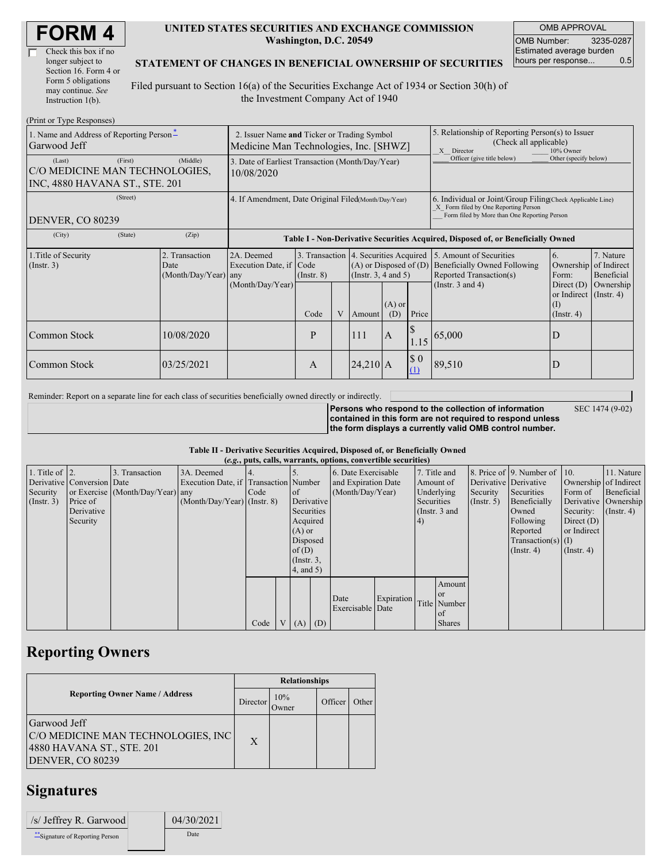| <b>FORM4</b> |
|--------------|
|--------------|

| Check this box if no  |  |
|-----------------------|--|
| longer subject to     |  |
| Section 16. Form 4 or |  |
| Form 5 obligations    |  |
| may continue. See     |  |
| Instruction 1(b).     |  |

### **UNITED STATES SECURITIES AND EXCHANGE COMMISSION Washington, D.C. 20549**

OMB APPROVAL OMB Number: 3235-0287 Estimated average burden hours per response... 0.5

### **STATEMENT OF CHANGES IN BENEFICIAL OWNERSHIP OF SECURITIES**

Filed pursuant to Section 16(a) of the Securities Exchange Act of 1934 or Section 30(h) of the Investment Company Act of 1940

| (Print or Type Responses)                                                             |                                                                                       |                                                                                  |                 |   |            |                                                                                                       |                                                                                                                                                    |                                                                                    |                                                                         |                                        |
|---------------------------------------------------------------------------------------|---------------------------------------------------------------------------------------|----------------------------------------------------------------------------------|-----------------|---|------------|-------------------------------------------------------------------------------------------------------|----------------------------------------------------------------------------------------------------------------------------------------------------|------------------------------------------------------------------------------------|-------------------------------------------------------------------------|----------------------------------------|
| 1. Name and Address of Reporting Person-<br>Garwood Jeff                              | 2. Issuer Name and Ticker or Trading Symbol<br>Medicine Man Technologies, Inc. [SHWZ] |                                                                                  |                 |   |            | 5. Relationship of Reporting Person(s) to Issuer<br>(Check all applicable)<br>10% Owner<br>X Director |                                                                                                                                                    |                                                                                    |                                                                         |                                        |
| (First)<br>(Last)<br>C/O MEDICINE MAN TECHNOLOGIES,<br>INC, 4880 HAVANA ST., STE. 201 | (Middle)                                                                              | 3. Date of Earliest Transaction (Month/Day/Year)<br>10/08/2020                   |                 |   |            |                                                                                                       | Officer (give title below)                                                                                                                         | Other (specify below)                                                              |                                                                         |                                        |
| (Street)<br>DENVER, CO 80239                                                          | 4. If Amendment, Date Original Filed(Month/Day/Year)                                  |                                                                                  |                 |   |            |                                                                                                       | 6. Individual or Joint/Group Filing Check Applicable Line)<br>X Form filed by One Reporting Person<br>Form filed by More than One Reporting Person |                                                                                    |                                                                         |                                        |
| (State)<br>(City)                                                                     | (Zip)                                                                                 | Table I - Non-Derivative Securities Acquired, Disposed of, or Beneficially Owned |                 |   |            |                                                                                                       |                                                                                                                                                    |                                                                                    |                                                                         |                                        |
| 1. Title of Security<br>(Insert. 3)                                                   | 2. Transaction<br>Date<br>(Month/Day/Year) any                                        | 2A. Deemed<br>Execution Date, if Code                                            | $($ Instr. $8)$ |   |            | 3. Transaction 4. Securities Acquired<br>$(A)$ or Disposed of $(D)$<br>(Insert. 3, 4 and 5)           |                                                                                                                                                    | 5. Amount of Securities<br>Beneficially Owned Following<br>Reported Transaction(s) | 6.<br>Ownership<br>Form:                                                | 7. Nature<br>of Indirect<br>Beneficial |
|                                                                                       |                                                                                       | (Month/Day/Year)                                                                 | Code            | V | Amount     | $(A)$ or<br>(D)                                                                                       | Price                                                                                                                                              | (Instr. $3$ and $4$ )                                                              | Direct $(D)$<br>or Indirect $($ Instr. 4 $)$<br>(1)<br>$($ Instr. 4 $)$ | Ownership                              |
| Common Stock                                                                          | 10/08/2020                                                                            |                                                                                  | P               |   | 111        | $\overline{A}$                                                                                        | 1.15                                                                                                                                               | 65,000                                                                             | D                                                                       |                                        |
| Common Stock                                                                          | 03/25/2021                                                                            |                                                                                  | A               |   | $24,210$ A |                                                                                                       | \$0<br>(1)                                                                                                                                         | 89,510                                                                             | D                                                                       |                                        |

Reminder: Report on a separate line for each class of securities beneficially owned directly or indirectly.

SEC 1474 (9-02)

**Persons who respond to the collection of information contained in this form are not required to respond unless the form displays a currently valid OMB control number.**

### **Table II - Derivative Securities Acquired, Disposed of, or Beneficially Owned**

|                        | (e.g., puts, calls, warrants, options, convertible securities) |                                  |                                       |      |  |                 |  |                     |            |            |                 |                       |                                              |                       |                      |
|------------------------|----------------------------------------------------------------|----------------------------------|---------------------------------------|------|--|-----------------|--|---------------------|------------|------------|-----------------|-----------------------|----------------------------------------------|-----------------------|----------------------|
| 1. Title of $\vert$ 2. |                                                                | 3. Transaction                   | 3A. Deemed                            |      |  |                 |  | 6. Date Exercisable |            |            | 7. Title and    |                       | 8. Price of $\vert$ 9. Number of $\vert$ 10. |                       | 11. Nature           |
|                        | Derivative Conversion Date                                     |                                  | Execution Date, if Transaction Number |      |  |                 |  | and Expiration Date |            |            | Amount of       | Derivative Derivative |                                              | Ownership of Indirect |                      |
| Security               |                                                                | or Exercise (Month/Day/Year) any |                                       | Code |  | <sub>of</sub>   |  | (Month/Day/Year)    |            |            | Underlying      | Security              | Securities                                   | Form of               | Beneficial           |
| (Insert. 3)            | Price of                                                       |                                  | $(Month/Day/Year)$ (Instr. 8)         |      |  | Derivative      |  |                     |            | Securities |                 | $($ Instr. 5)         | Beneficially                                 |                       | Derivative Ownership |
|                        | Derivative                                                     |                                  |                                       |      |  | Securities      |  |                     |            |            | (Instr. $3$ and |                       | Owned                                        | Security:             | $($ Instr. 4 $)$     |
|                        | Security                                                       |                                  |                                       |      |  | Acquired        |  |                     |            | $\vert 4)$ |                 |                       | Following                                    | Direct $(D)$          |                      |
|                        |                                                                |                                  |                                       |      |  | $(A)$ or        |  |                     |            |            |                 |                       | Reported                                     | or Indirect           |                      |
|                        |                                                                |                                  |                                       |      |  | Disposed        |  |                     |            |            |                 |                       | $Transaction(s)$ (I)                         |                       |                      |
|                        |                                                                |                                  |                                       |      |  | of(D)           |  |                     |            |            |                 |                       | $($ Instr. 4 $)$                             | $($ Instr. 4 $)$      |                      |
|                        |                                                                |                                  |                                       |      |  | $($ Instr. $3,$ |  |                     |            |            |                 |                       |                                              |                       |                      |
|                        |                                                                |                                  |                                       |      |  | 4, and 5)       |  |                     |            |            |                 |                       |                                              |                       |                      |
|                        |                                                                |                                  |                                       |      |  |                 |  |                     |            |            | Amount          |                       |                                              |                       |                      |
|                        |                                                                |                                  |                                       |      |  |                 |  | Date                |            |            | <b>or</b>       |                       |                                              |                       |                      |
|                        |                                                                |                                  |                                       |      |  |                 |  | Exercisable Date    | Expiration |            | Title Number    |                       |                                              |                       |                      |
|                        |                                                                |                                  |                                       |      |  |                 |  |                     |            |            | of              |                       |                                              |                       |                      |
|                        |                                                                |                                  |                                       | Code |  | V   (A)   (D)   |  |                     |            |            | <b>Shares</b>   |                       |                                              |                       |                      |

### **Reporting Owners**

|                                                                                                     | <b>Relationships</b> |               |         |       |  |  |  |  |
|-----------------------------------------------------------------------------------------------------|----------------------|---------------|---------|-------|--|--|--|--|
| <b>Reporting Owner Name / Address</b><br>Director                                                   |                      | 10%<br>Dwner) | Officer | Other |  |  |  |  |
| Garwood Jeff<br>C/O MEDICINE MAN TECHNOLOGIES, INC<br>4880 HAVANA ST., STE. 201<br>DENVER, CO 80239 | X                    |               |         |       |  |  |  |  |

## **Signatures**

| /s/ Jeffrey R. Garwood           | 04/30/2021 |
|----------------------------------|------------|
| ** Signature of Reporting Person | Date       |